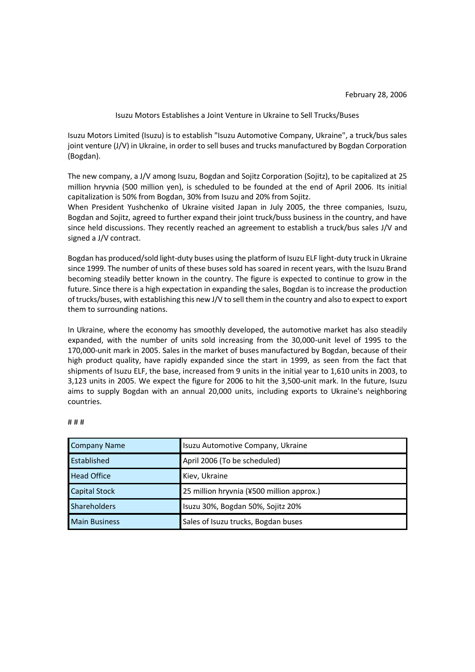## Isuzu Motors Establishes a Joint Venture in Ukraine to Sell Trucks/Buses

Isuzu Motors Limited (Isuzu) is to establish "Isuzu Automotive Company, Ukraine", a truck/bus sales joint venture (J/V) in Ukraine, in order to sell buses and trucks manufactured by Bogdan Corporation (Bogdan).

The new company, a J/V among Isuzu, Bogdan and Sojitz Corporation (Sojitz), to be capitalized at 25 million hryvnia (500 million yen), is scheduled to be founded at the end of April 2006. Its initial capitalization is 50% from Bogdan, 30% from Isuzu and 20% from Sojitz.

When President Yushchenko of Ukraine visited Japan in July 2005, the three companies, Isuzu, Bogdan and Sojitz, agreed to further expand their joint truck/buss business in the country, and have since held discussions. They recently reached an agreement to establish a truck/bus sales J/V and signed a J/V contract.

Bogdan has produced/sold light-duty buses using the platform of Isuzu ELF light-duty truck in Ukraine since 1999. The number of units of these buses sold has soared in recent years, with the Isuzu Brand becoming steadily better known in the country. The figure is expected to continue to grow in the future. Since there is a high expectation in expanding the sales, Bogdan is to increase the production of trucks/buses, with establishing this new J/V to sell them in the country and also to expect to export them to surrounding nations.

In Ukraine, where the economy has smoothly developed, the automotive market has also steadily expanded, with the number of units sold increasing from the 30,000-unit level of 1995 to the 170,000-unit mark in 2005. Sales in the market of buses manufactured by Bogdan, because of their high product quality, have rapidly expanded since the start in 1999, as seen from the fact that shipments of Isuzu ELF, the base, increased from 9 units in the initial year to 1,610 units in 2003, to 3,123 units in 2005. We expect the figure for 2006 to hit the 3,500-unit mark. In the future, Isuzu aims to supply Bogdan with an annual 20,000 units, including exports to Ukraine's neighboring countries.

| <b>Company Name</b>  | Isuzu Automotive Company, Ukraine         |
|----------------------|-------------------------------------------|
| Established          | April 2006 (To be scheduled)              |
| <b>Head Office</b>   | Kiev, Ukraine                             |
| <b>Capital Stock</b> | 25 million hryvnia (¥500 million approx.) |
| <b>Shareholders</b>  | Isuzu 30%, Bogdan 50%, Sojitz 20%         |
| <b>Main Business</b> | Sales of Isuzu trucks, Bogdan buses       |

# # #